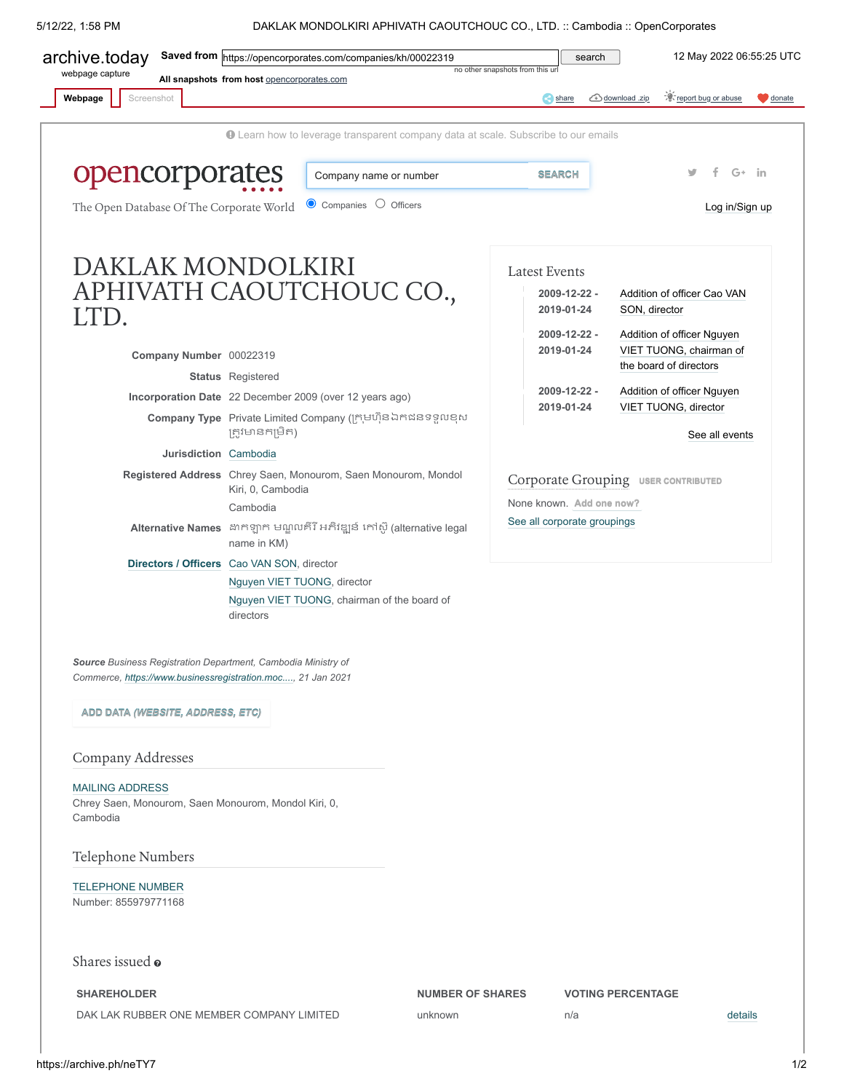5/12/22, 1:58 PM DAKLAK MONDOLKIRI APHIVATH CAOUTCHOUC CO., LTD. :: Cambodia :: OpenCorporates

<span id="page-0-0"></span>